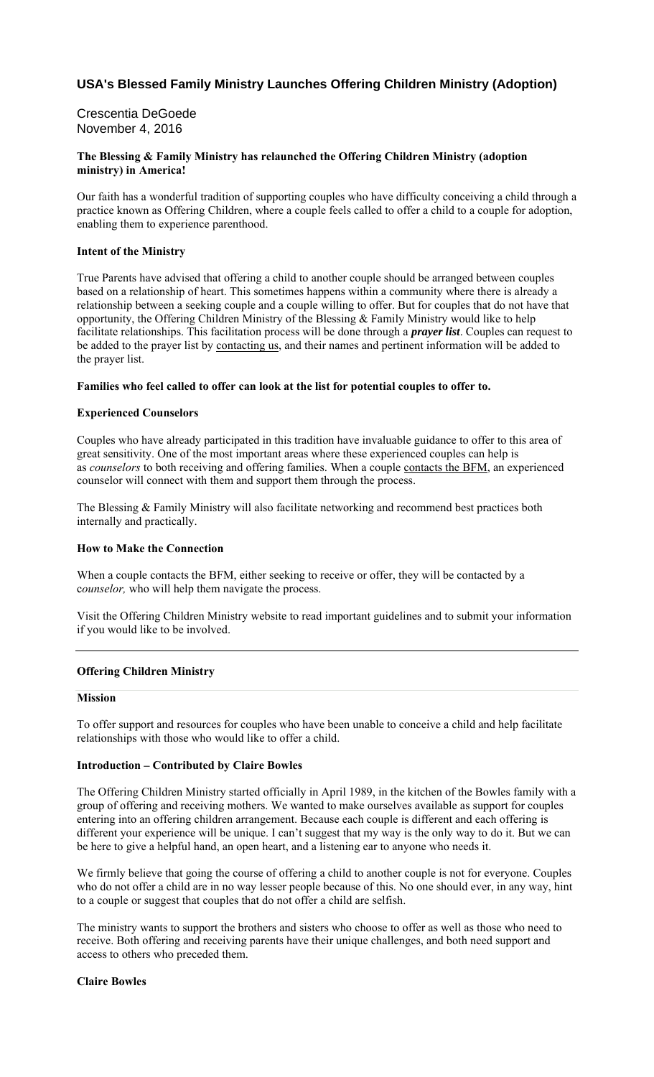# **USA's Blessed Family Ministry Launches Offering Children Ministry (Adoption)**

# Crescentia DeGoede November 4, 2016

### **The Blessing & Family Ministry has relaunched the Offering Children Ministry (adoption ministry) in America!**

Our faith has a wonderful tradition of supporting couples who have difficulty conceiving a child through a practice known as Offering Children, where a couple feels called to offer a child to a couple for adoption, enabling them to experience parenthood.

### **Intent of the Ministry**

True Parents have advised that offering a child to another couple should be arranged between couples based on a relationship of heart. This sometimes happens within a community where there is already a relationship between a seeking couple and a couple willing to offer. But for couples that do not have that opportunity, the Offering Children Ministry of the Blessing & Family Ministry would like to help facilitate relationships. This facilitation process will be done through a *prayer list*. Couples can request to be added to the prayer list by contacting us, and their names and pertinent information will be added to the prayer list.

#### **Families who feel called to offer can look at the list for potential couples to offer to.**

### **Experienced Counselors**

Couples who have already participated in this tradition have invaluable guidance to offer to this area of great sensitivity. One of the most important areas where these experienced couples can help is as *counselors* to both receiving and offering families. When a couple contacts the BFM, an experienced counselor will connect with them and support them through the process.

The Blessing & Family Ministry will also facilitate networking and recommend best practices both internally and practically.

### **How to Make the Connection**

When a couple contacts the BFM, either seeking to receive or offer, they will be contacted by a c*ounselor,* who will help them navigate the process.

Visit the Offering Children Ministry website to read important guidelines and to submit your information if you would like to be involved.

### **Offering Children Ministry**

#### **Mission**

To offer support and resources for couples who have been unable to conceive a child and help facilitate relationships with those who would like to offer a child.

#### **Introduction – Contributed by Claire Bowles**

The Offering Children Ministry started officially in April 1989, in the kitchen of the Bowles family with a group of offering and receiving mothers. We wanted to make ourselves available as support for couples entering into an offering children arrangement. Because each couple is different and each offering is different your experience will be unique. I can't suggest that my way is the only way to do it. But we can be here to give a helpful hand, an open heart, and a listening ear to anyone who needs it.

We firmly believe that going the course of offering a child to another couple is not for everyone. Couples who do not offer a child are in no way lesser people because of this. No one should ever, in any way, hint to a couple or suggest that couples that do not offer a child are selfish.

The ministry wants to support the brothers and sisters who choose to offer as well as those who need to receive. Both offering and receiving parents have their unique challenges, and both need support and access to others who preceded them.

#### **Claire Bowles**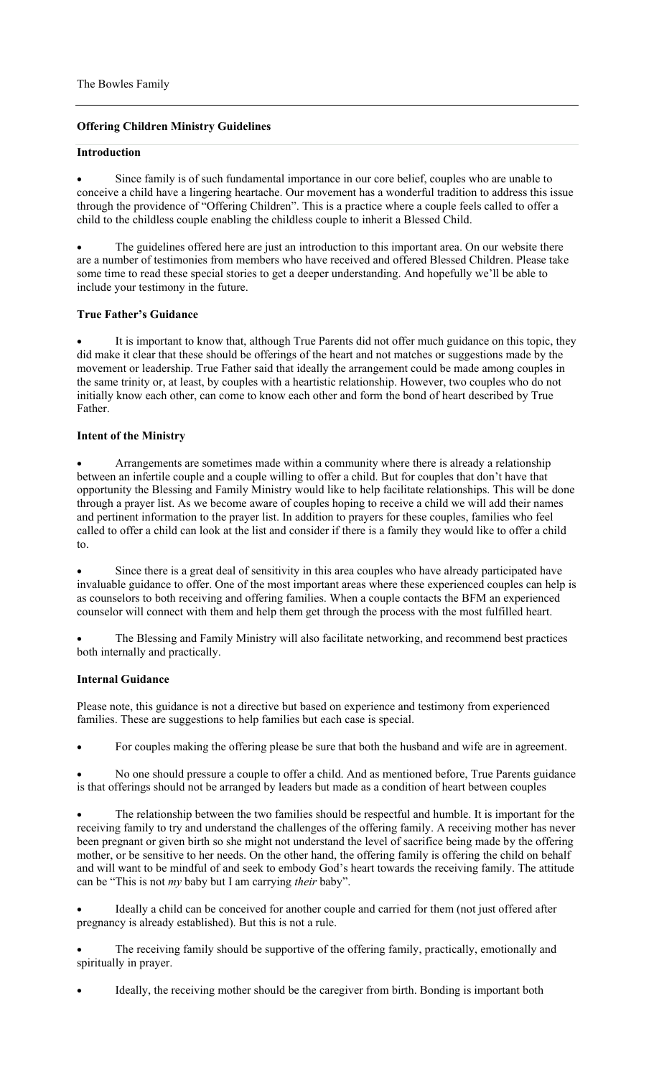## **Offering Children Ministry Guidelines**

### **Introduction**

 Since family is of such fundamental importance in our core belief, couples who are unable to conceive a child have a lingering heartache. Our movement has a wonderful tradition to address this issue through the providence of "Offering Children". This is a practice where a couple feels called to offer a child to the childless couple enabling the childless couple to inherit a Blessed Child.

 The guidelines offered here are just an introduction to this important area. On our website there are a number of testimonies from members who have received and offered Blessed Children. Please take some time to read these special stories to get a deeper understanding. And hopefully we'll be able to include your testimony in the future.

### **True Father's Guidance**

 It is important to know that, although True Parents did not offer much guidance on this topic, they did make it clear that these should be offerings of the heart and not matches or suggestions made by the movement or leadership. True Father said that ideally the arrangement could be made among couples in the same trinity or, at least, by couples with a heartistic relationship. However, two couples who do not initially know each other, can come to know each other and form the bond of heart described by True Father.

### **Intent of the Ministry**

 Arrangements are sometimes made within a community where there is already a relationship between an infertile couple and a couple willing to offer a child. But for couples that don't have that opportunity the Blessing and Family Ministry would like to help facilitate relationships. This will be done through a prayer list. As we become aware of couples hoping to receive a child we will add their names and pertinent information to the prayer list. In addition to prayers for these couples, families who feel called to offer a child can look at the list and consider if there is a family they would like to offer a child to.

 Since there is a great deal of sensitivity in this area couples who have already participated have invaluable guidance to offer. One of the most important areas where these experienced couples can help is as counselors to both receiving and offering families. When a couple contacts the BFM an experienced counselor will connect with them and help them get through the process with the most fulfilled heart.

 The Blessing and Family Ministry will also facilitate networking, and recommend best practices both internally and practically.

#### **Internal Guidance**

Please note, this guidance is not a directive but based on experience and testimony from experienced families. These are suggestions to help families but each case is special.

For couples making the offering please be sure that both the husband and wife are in agreement.

 No one should pressure a couple to offer a child. And as mentioned before, True Parents guidance is that offerings should not be arranged by leaders but made as a condition of heart between couples

 The relationship between the two families should be respectful and humble. It is important for the receiving family to try and understand the challenges of the offering family. A receiving mother has never been pregnant or given birth so she might not understand the level of sacrifice being made by the offering mother, or be sensitive to her needs. On the other hand, the offering family is offering the child on behalf and will want to be mindful of and seek to embody God's heart towards the receiving family. The attitude can be "This is not *my* baby but I am carrying *their* baby".

 Ideally a child can be conceived for another couple and carried for them (not just offered after pregnancy is already established). But this is not a rule.

 The receiving family should be supportive of the offering family, practically, emotionally and spiritually in prayer.

Ideally, the receiving mother should be the caregiver from birth. Bonding is important both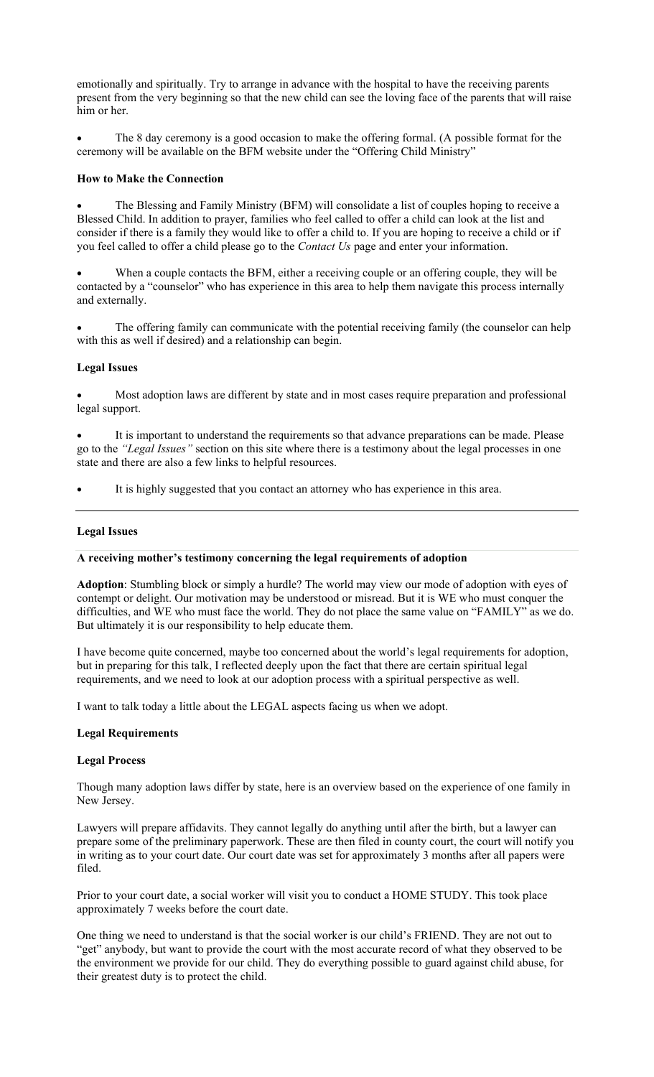emotionally and spiritually. Try to arrange in advance with the hospital to have the receiving parents present from the very beginning so that the new child can see the loving face of the parents that will raise him or her.

 The 8 day ceremony is a good occasion to make the offering formal. (A possible format for the ceremony will be available on the BFM website under the "Offering Child Ministry"

#### **How to Make the Connection**

 The Blessing and Family Ministry (BFM) will consolidate a list of couples hoping to receive a Blessed Child. In addition to prayer, families who feel called to offer a child can look at the list and consider if there is a family they would like to offer a child to. If you are hoping to receive a child or if you feel called to offer a child please go to the *Contact Us* page and enter your information.

 When a couple contacts the BFM, either a receiving couple or an offering couple, they will be contacted by a "counselor" who has experience in this area to help them navigate this process internally and externally.

 The offering family can communicate with the potential receiving family (the counselor can help with this as well if desired) and a relationship can begin.

#### **Legal Issues**

 Most adoption laws are different by state and in most cases require preparation and professional legal support.

 It is important to understand the requirements so that advance preparations can be made. Please go to the *"Legal Issues"* section on this site where there is a testimony about the legal processes in one state and there are also a few links to helpful resources.

It is highly suggested that you contact an attorney who has experience in this area.

#### **Legal Issues**

### **A receiving mother's testimony concerning the legal requirements of adoption**

**Adoption**: Stumbling block or simply a hurdle? The world may view our mode of adoption with eyes of contempt or delight. Our motivation may be understood or misread. But it is WE who must conquer the difficulties, and WE who must face the world. They do not place the same value on "FAMILY" as we do. But ultimately it is our responsibility to help educate them.

I have become quite concerned, maybe too concerned about the world's legal requirements for adoption, but in preparing for this talk, I reflected deeply upon the fact that there are certain spiritual legal requirements, and we need to look at our adoption process with a spiritual perspective as well.

I want to talk today a little about the LEGAL aspects facing us when we adopt.

#### **Legal Requirements**

#### **Legal Process**

Though many adoption laws differ by state, here is an overview based on the experience of one family in New Jersey.

Lawyers will prepare affidavits. They cannot legally do anything until after the birth, but a lawyer can prepare some of the preliminary paperwork. These are then filed in county court, the court will notify you in writing as to your court date. Our court date was set for approximately 3 months after all papers were filed.

Prior to your court date, a social worker will visit you to conduct a HOME STUDY. This took place approximately 7 weeks before the court date.

One thing we need to understand is that the social worker is our child's FRIEND. They are not out to "get" anybody, but want to provide the court with the most accurate record of what they observed to be the environment we provide for our child. They do everything possible to guard against child abuse, for their greatest duty is to protect the child.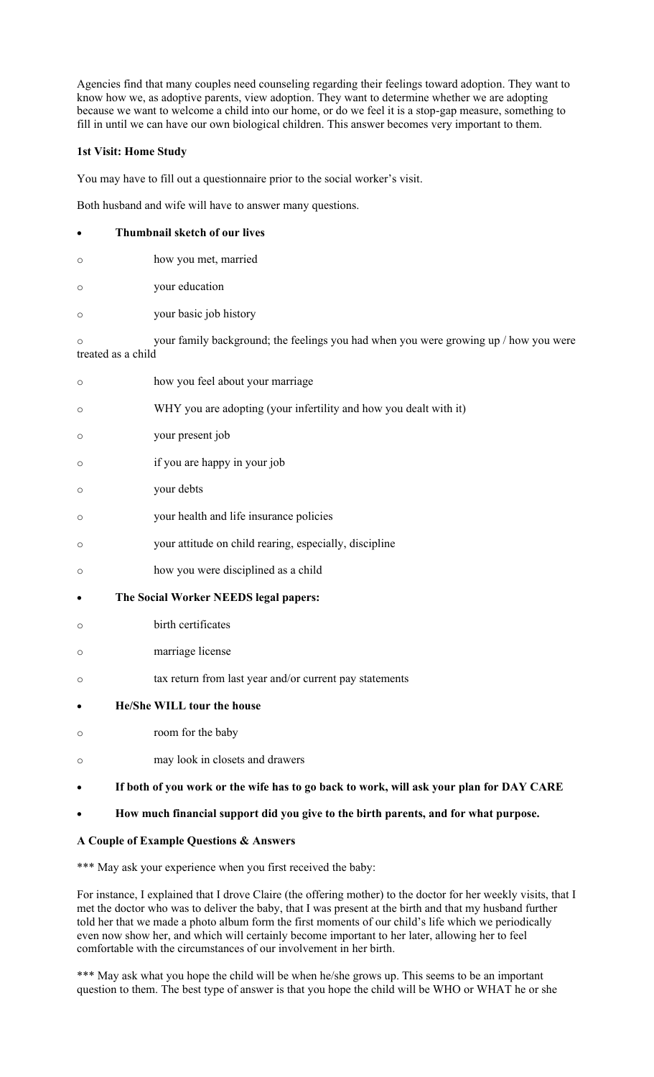Agencies find that many couples need counseling regarding their feelings toward adoption. They want to know how we, as adoptive parents, view adoption. They want to determine whether we are adopting because we want to welcome a child into our home, or do we feel it is a stop-gap measure, something to fill in until we can have our own biological children. This answer becomes very important to them.

### **1st Visit: Home Study**

You may have to fill out a questionnaire prior to the social worker's visit.

Both husband and wife will have to answer many questions.

|         | Thumbnail sketch of our lives                                                                              |
|---------|------------------------------------------------------------------------------------------------------------|
| $\circ$ | how you met, married                                                                                       |
| $\circ$ | your education                                                                                             |
| $\circ$ | your basic job history                                                                                     |
| $\circ$ | your family background; the feelings you had when you were growing up / how you were<br>treated as a child |
| $\circ$ | how you feel about your marriage                                                                           |
| O       | WHY you are adopting (your infertility and how you dealt with it)                                          |
| O       | your present job                                                                                           |
| $\circ$ | if you are happy in your job                                                                               |
| $\circ$ | your debts                                                                                                 |
| $\circ$ | your health and life insurance policies                                                                    |
| $\circ$ | your attitude on child rearing, especially, discipline                                                     |
| O       | how you were disciplined as a child                                                                        |
| ٠       | The Social Worker NEEDS legal papers:                                                                      |
| $\circ$ | birth certificates                                                                                         |
| $\circ$ | marriage license                                                                                           |
| $\circ$ | tax return from last year and/or current pay statements                                                    |
|         | He/She WILL tour the house                                                                                 |
| $\circ$ | room for the baby                                                                                          |
| $\circ$ | may look in closets and drawers                                                                            |
|         | If both of you work or the wife has to go back to work, will ask your plan for DAY CARE                    |

### **How much financial support did you give to the birth parents, and for what purpose.**

### **A Couple of Example Questions & Answers**

\*\*\* May ask your experience when you first received the baby:

For instance, I explained that I drove Claire (the offering mother) to the doctor for her weekly visits, that I met the doctor who was to deliver the baby, that I was present at the birth and that my husband further told her that we made a photo album form the first moments of our child's life which we periodically even now show her, and which will certainly become important to her later, allowing her to feel comfortable with the circumstances of our involvement in her birth.

\*\*\* May ask what you hope the child will be when he/she grows up. This seems to be an important question to them. The best type of answer is that you hope the child will be WHO or WHAT he or she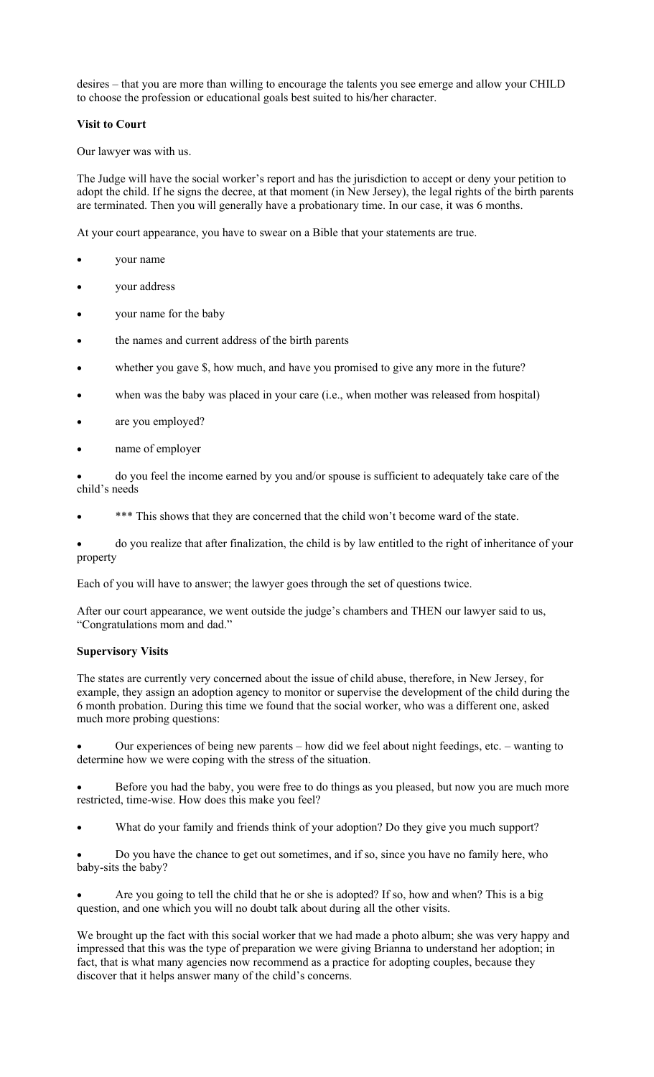desires – that you are more than willing to encourage the talents you see emerge and allow your CHILD to choose the profession or educational goals best suited to his/her character.

## **Visit to Court**

Our lawyer was with us.

The Judge will have the social worker's report and has the jurisdiction to accept or deny your petition to adopt the child. If he signs the decree, at that moment (in New Jersey), the legal rights of the birth parents are terminated. Then you will generally have a probationary time. In our case, it was 6 months.

At your court appearance, you have to swear on a Bible that your statements are true.

- your name
- your address
- your name for the baby
- the names and current address of the birth parents
- whether you gave \$, how much, and have you promised to give any more in the future?
- when was the baby was placed in your care (i.e., when mother was released from hospital)
- are you employed?
- name of employer

 do you feel the income earned by you and/or spouse is sufficient to adequately take care of the child's needs

\*\*\* This shows that they are concerned that the child won't become ward of the state.

 do you realize that after finalization, the child is by law entitled to the right of inheritance of your property

Each of you will have to answer; the lawyer goes through the set of questions twice.

After our court appearance, we went outside the judge's chambers and THEN our lawyer said to us, "Congratulations mom and dad."

#### **Supervisory Visits**

The states are currently very concerned about the issue of child abuse, therefore, in New Jersey, for example, they assign an adoption agency to monitor or supervise the development of the child during the 6 month probation. During this time we found that the social worker, who was a different one, asked much more probing questions:

 Our experiences of being new parents – how did we feel about night feedings, etc. – wanting to determine how we were coping with the stress of the situation.

 Before you had the baby, you were free to do things as you pleased, but now you are much more restricted, time-wise. How does this make you feel?

What do your family and friends think of your adoption? Do they give you much support?

 Do you have the chance to get out sometimes, and if so, since you have no family here, who baby-sits the baby?

 Are you going to tell the child that he or she is adopted? If so, how and when? This is a big question, and one which you will no doubt talk about during all the other visits.

We brought up the fact with this social worker that we had made a photo album; she was very happy and impressed that this was the type of preparation we were giving Brianna to understand her adoption; in fact, that is what many agencies now recommend as a practice for adopting couples, because they discover that it helps answer many of the child's concerns.